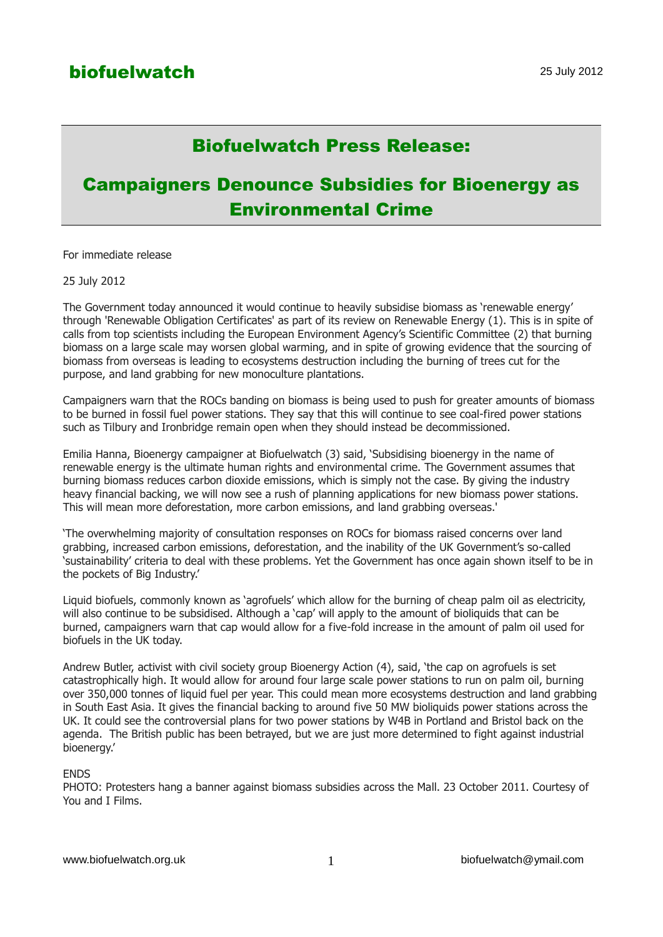## Biofuelwatch Press Release:

# Campaigners Denounce Subsidies for Bioenergy as Environmental Crime

For immediate release

25 July 2012

The Government today announced it would continue to heavily subsidise biomass as 'renewable energy' through 'Renewable Obligation Certificates' as part of its review on Renewable Energy (1). This is in spite of calls from top scientists including the European Environment Agency's Scientific Committee (2) that burning biomass on a large scale may worsen global warming, and in spite of growing evidence that the sourcing of biomass from overseas is leading to ecosystems destruction including the burning of trees cut for the purpose, and land grabbing for new monoculture plantations.

Campaigners warn that the ROCs banding on biomass is being used to push for greater amounts of biomass to be burned in fossil fuel power stations. They say that this will continue to see coal-fired power stations such as Tilbury and Ironbridge remain open when they should instead be decommissioned.

Emilia Hanna, Bioenergy campaigner at Biofuelwatch (3) said, 'Subsidising bioenergy in the name of renewable energy is the ultimate human rights and environmental crime. The Government assumes that burning biomass reduces carbon dioxide emissions, which is simply not the case. By giving the industry heavy financial backing, we will now see a rush of planning applications for new biomass power stations. This will mean more deforestation, more carbon emissions, and land grabbing overseas.'

'The overwhelming majority of consultation responses on ROCs for biomass raised concerns over land grabbing, increased carbon emissions, deforestation, and the inability of the UK Government's so-called 'sustainability' criteria to deal with these problems. Yet the Government has once again shown itself to be in the pockets of Big Industry.'

Liquid biofuels, commonly known as 'agrofuels' which allow for the burning of cheap palm oil as electricity, will also continue to be subsidised. Although a 'cap' will apply to the amount of bioliquids that can be burned, campaigners warn that cap would allow for a five-fold increase in the amount of palm oil used for biofuels in the UK today.

Andrew Butler, activist with civil society group Bioenergy Action (4), said, 'the cap on agrofuels is set catastrophically high. It would allow for around four large scale power stations to run on palm oil, burning over 350,000 tonnes of liquid fuel per year. This could mean more ecosystems destruction and land grabbing in South East Asia. It gives the financial backing to around five 50 MW bioliquids power stations across the UK. It could see the controversial plans for two power stations by W4B in Portland and Bristol back on the agenda. The British public has been betrayed, but we are just more determined to fight against industrial bioenergy.'

#### ENDS

PHOTO: Protesters hang a banner against biomass subsidies across the Mall. 23 October 2011. Courtesy of You and I Films.